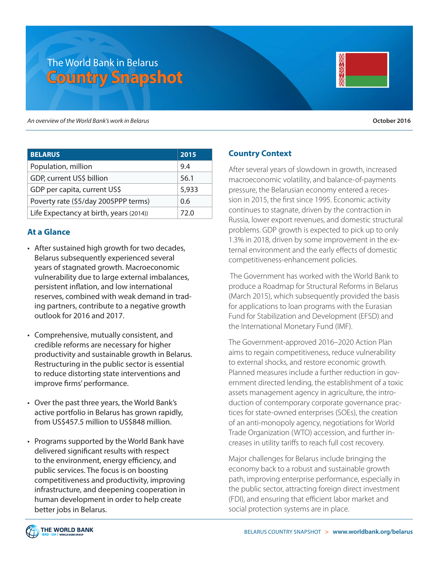# The World Bank in Belarus **Country Snapshot**

*An overview of the World Bank's work in Belarus* **October 2016**

| <b>BELARUS</b>                          | 2015  |
|-----------------------------------------|-------|
| Population, million                     | 9.4   |
| GDP, current US\$ billion               | 56.1  |
| GDP per capita, current US\$            | 5,933 |
| Poverty rate (\$5/day 2005PPP terms)    | 0.6   |
| Life Expectancy at birth, years (2014)) | 72.0  |

## **At a Glance**

- After sustained high growth for two decades, Belarus subsequently experienced several years of stagnated growth. Macroeconomic vulnerability due to large external imbalances, persistent inflation, and low international reserves, combined with weak demand in trading partners, contribute to a negative growth outlook for 2016 and 2017.
- Comprehensive, mutually consistent, and credible reforms are necessary for higher productivity and sustainable growth in Belarus. Restructuring in the public sector is essential to reduce distorting state interventions and improve firms' performance.
- Over the past three years, the World Bank's active portfolio in Belarus has grown rapidly, from US\$457.5 million to US\$848 million.
- Programs supported by the World Bank have delivered significant results with respect to the environment, energy efficiency, and public services. The focus is on boosting competitiveness and productivity, improving infrastructure, and deepening cooperation in human development in order to help create better jobs in Belarus.

# **Country Context**

After several years of slowdown in growth, increased macroeconomic volatility, and balance-of-payments pressure, the Belarusian economy entered a recession in 2015, the first since 1995. Economic activity continues to stagnate, driven by the contraction in Russia, lower export revenues, and domestic structural problems. GDP growth is expected to pick up to only 1.3% in 2018, driven by some improvement in the external environment and the early effects of domestic competitiveness-enhancement policies.

 The Government has worked with the World Bank to produce a Roadmap for Structural Reforms in Belarus (March 2015), which subsequently provided the basis for applications to loan programs with the Eurasian Fund for Stabilization and Development (EFSD) and the International Monetary Fund (IMF).

The Government-approved 2016–2020 Action Plan aims to regain competitiveness, reduce vulnerability to external shocks, and restore economic growth. Planned measures include a further reduction in government directed lending, the establishment of a toxic assets management agency in agriculture, the introduction of contemporary corporate governance practices for state-owned enterprises (SOEs), the creation of an anti-monopoly agency, negotiations for World Trade Organization (WTO) accession, and further increases in utility tariffs to reach full cost recovery.

Major challenges for Belarus include bringing the economy back to a robust and sustainable growth path, improving enterprise performance, especially in the public sector, attracting foreign direct investment (FDI), and ensuring that efficient labor market and social protection systems are in place.

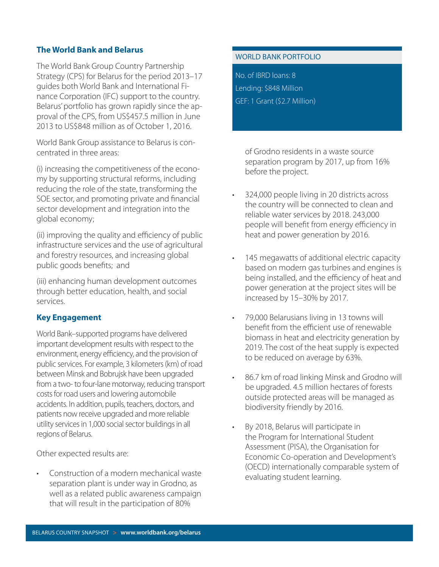### **The World Bank and Belarus**

The World Bank Group Country Partnership Strategy (CPS) for Belarus for the period 2013–17 guides both World Bank and International Finance Corporation (IFC) support to the country. Belarus' portfolio has grown rapidly since the approval of the CPS, from US\$457.5 million in June 2013 to US\$848 million as of October 1, 2016.

World Bank Group assistance to Belarus is concentrated in three areas:

(i) increasing the competitiveness of the economy by supporting structural reforms, including reducing the role of the state, transforming the SOE sector, and promoting private and financial sector development and integration into the global economy;

(ii) improving the quality and efficiency of public infrastructure services and the use of agricultural and forestry resources, and increasing global public goods benefits; and

(iii) enhancing human development outcomes through better education, health, and social services.

#### **Key Engagement**

World Bank–supported programs have delivered important development results with respect to the environment, energy efficiency, and the provision of public services. For example, 3 kilometers (km) of road between Minsk and Bobrujsk have been upgraded from a two- to four-lane motorway, reducing transport costs for road users and lowering automobile accidents. In addition, pupils, teachers, doctors, and patients now receive upgraded and more reliable utility services in 1,000 social sector buildings in all regions of Belarus.

Other expected results are:

• Construction of a modern mechanical waste separation plant is under way in Grodno, as well as a related public awareness campaign that will result in the participation of 80%

#### WORLD BANK PORTFOLIO

No. of IBRD loans: 8 Lending: \$848 Million GEF: 1 Grant (\$2.7 Million)

> of Grodno residents in a waste source separation program by 2017, up from 16% before the project.

•

- 324,000 people living in 20 districts across the country will be connected to clean and reliable water services by 2018. 243,000 people will benefit from energy efficiency in heat and power generation by 2016.
- 145 megawatts of additional electric capacity based on modern gas turbines and engines is being installed, and the efficiency of heat and power generation at the project sites will be increased by 15–30% by 2017.
- 79,000 Belarusians living in 13 towns will benefit from the efficient use of renewable biomass in heat and electricity generation by 2019. The cost of the heat supply is expected to be reduced on average by 63%.
- 86.7 km of road linking Minsk and Grodno will be upgraded. 4.5 million hectares of forests outside protected areas will be managed as biodiversity friendly by 2016.
- By 2018, Belarus will participate in the Program for International Student Assessment (PISA), the Organisation for Economic Co-operation and Development's (OECD) internationally comparable system of evaluating student learning.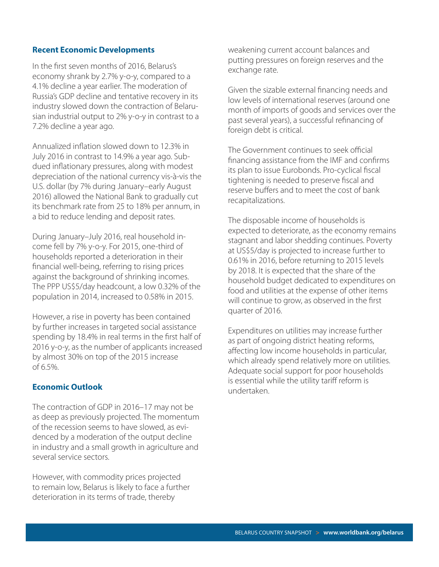#### **Recent Economic Developments**

In the first seven months of 2016, Belarus's economy shrank by 2.7% y-o-y, compared to a 4.1% decline a year earlier. The moderation of Russia's GDP decline and tentative recovery in its industry slowed down the contraction of Belarusian industrial output to 2% y-o-y in contrast to a 7.2% decline a year ago.

Annualized inflation slowed down to 12.3% in July 2016 in contrast to 14.9% a year ago. Subdued inflationary pressures, along with modest depreciation of the national currency vis-à-vis the U.S. dollar (by 7% during January–early August 2016) allowed the National Bank to gradually cut its benchmark rate from 25 to 18% per annum, in a bid to reduce lending and deposit rates.

During January–July 2016, real household income fell by 7% y-o-y. For 2015, one-third of households reported a deterioration in their financial well-being, referring to rising prices against the background of shrinking incomes. The PPP US\$5/day headcount, a low 0.32% of the population in 2014, increased to 0.58% in 2015.

However, a rise in poverty has been contained by further increases in targeted social assistance spending by 18.4% in real terms in the first half of 2016 y-o-y, as the number of applicants increased by almost 30% on top of the 2015 increase of 6.5%.

#### **Economic Outlook**

The contraction of GDP in 2016–17 may not be as deep as previously projected. The momentum of the recession seems to have slowed, as evidenced by a moderation of the output decline in industry and a small growth in agriculture and several service sectors.

However, with commodity prices projected to remain low, Belarus is likely to face a further deterioration in its terms of trade, thereby

weakening current account balances and putting pressures on foreign reserves and the exchange rate.

Given the sizable external financing needs and low levels of international reserves (around one month of imports of goods and services over the past several years), a successful refinancing of foreign debt is critical.

The Government continues to seek official financing assistance from the IMF and confirms its plan to issue Eurobonds. Pro-cyclical fiscal tightening is needed to preserve fiscal and reserve buffers and to meet the cost of bank recapitalizations.

The disposable income of households is expected to deteriorate, as the economy remains stagnant and labor shedding continues. Poverty at US\$5/day is projected to increase further to 0.61% in 2016, before returning to 2015 levels by 2018. It is expected that the share of the household budget dedicated to expenditures on food and utilities at the expense of other items will continue to grow, as observed in the first quarter of 2016.

Expenditures on utilities may increase further as part of ongoing district heating reforms, affecting low income households in particular, which already spend relatively more on utilities. Adequate social support for poor households is essential while the utility tariff reform is undertaken.